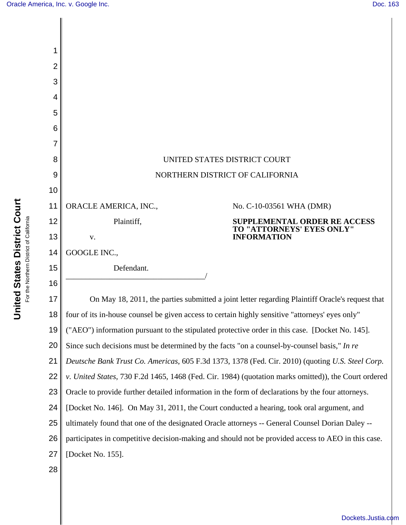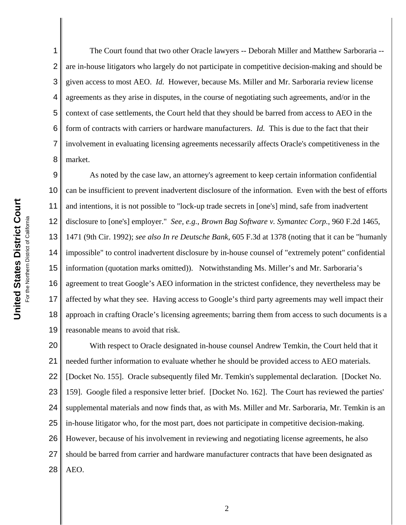1 2 3 4 5 6 7 8 The Court found that two other Oracle lawyers -- Deborah Miller and Matthew Sarboraria - are in-house litigators who largely do not participate in competitive decision-making and should be given access to most AEO. *Id.* However, because Ms. Miller and Mr. Sarboraria review license agreements as they arise in disputes, in the course of negotiating such agreements, and/or in the context of case settlements, the Court held that they should be barred from access to AEO in the form of contracts with carriers or hardware manufacturers. *Id.* This is due to the fact that their involvement in evaluating licensing agreements necessarily affects Oracle's competitiveness in the market.

9 10 11 12 13 14 15 16 17 18 19 As noted by the case law, an attorney's agreement to keep certain information confidential can be insufficient to prevent inadvertent disclosure of the information. Even with the best of efforts and intentions, it is not possible to "lock-up trade secrets in [one's] mind, safe from inadvertent disclosure to [one's] employer." *See, e.g.*, *Brown Bag Software v. Symantec Corp.*, 960 F.2d 1465, 1471 (9th Cir. 1992); *see also In re Deutsche Bank*, 605 F.3d at 1378 (noting that it can be "humanly impossible" to control inadvertent disclosure by in-house counsel of "extremely potent" confidential information (quotation marks omitted)). Notwithstanding Ms. Miller's and Mr. Sarboraria's agreement to treat Google's AEO information in the strictest confidence, they nevertheless may be affected by what they see. Having access to Google's third party agreements may well impact their approach in crafting Oracle's licensing agreements; barring them from access to such documents is a reasonable means to avoid that risk.

20 21 22 23 24 25 26 27 28 With respect to Oracle designated in-house counsel Andrew Temkin, the Court held that it needed further information to evaluate whether he should be provided access to AEO materials. [Docket No. 155]. Oracle subsequently filed Mr. Temkin's supplemental declaration. [Docket No. 159]. Google filed a responsive letter brief. [Docket No. 162]. The Court has reviewed the parties' supplemental materials and now finds that, as with Ms. Miller and Mr. Sarboraria, Mr. Temkin is an in-house litigator who, for the most part, does not participate in competitive decision-making. However, because of his involvement in reviewing and negotiating license agreements, he also should be barred from carrier and hardware manufacturer contracts that have been designated as AEO.